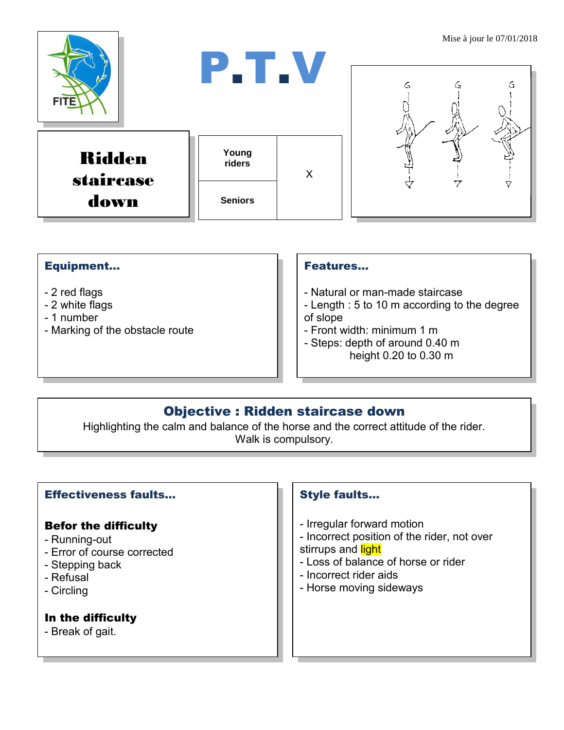

#### Equipment...

- 2 red flags
- 2 white flags
- 1 number
- Marking of the obstacle route

#### Features…

- Natural or man-made staircase
- Length : 5 to 10 m according to the degree of slope
- Front width: minimum 1 m
- Steps: depth of around 0.40 m height 0.20 to 0.30 m

## Objective : Ridden staircase down

Highlighting the calm and balance of the horse and the correct attitude of the rider. Walk is compulsory.

#### Effectiveness faults…

#### Befor the difficulty

- Running-out
- Error of course corrected
- Stepping back
- Refusal
- Circling

### In the difficulty

- Break of gait.

### Style faults…

- Irregular forward motion
- Incorrect position of the rider, not over stirrups and light
- Loss of balance of horse or rider
- Incorrect rider aids
- Horse moving sideways